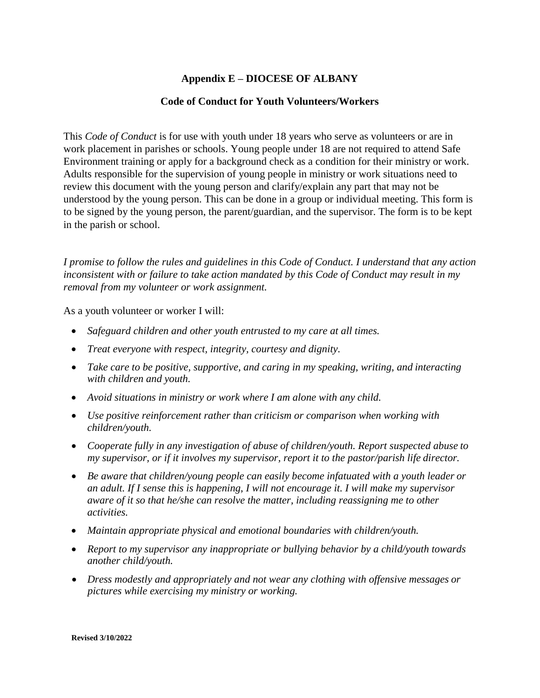## **Appendix E – DIOCESE OF ALBANY**

## **Code of Conduct for Youth Volunteers/Workers**

This *Code of Conduct* is for use with youth under 18 years who serve as volunteers or are in work placement in parishes or schools. Young people under 18 are not required to attend Safe Environment training or apply for a background check as a condition for their ministry or work. Adults responsible for the supervision of young people in ministry or work situations need to review this document with the young person and clarify/explain any part that may not be understood by the young person. This can be done in a group or individual meeting. This form is to be signed by the young person, the parent/guardian, and the supervisor. The form is to be kept in the parish or school.

*I promise to follow the rules and guidelines in this Code of Conduct. I understand that any action inconsistent with or failure to take action mandated by this Code of Conduct may result in my removal from my volunteer or work assignment.*

As a youth volunteer or worker I will:

- *Safeguard children and other youth entrusted to my care at all times.*
- *Treat everyone with respect, integrity, courtesy and dignity.*
- Take care to be positive, supportive, and caring in my speaking, writing, and interacting *with children and youth.*
- *Avoid situations in ministry or work where I am alone with any child.*
- *Use positive reinforcement rather than criticism or comparison when working with children/youth.*
- *Cooperate fully in any investigation of abuse of children/youth. Report suspected abuse to my supervisor, or if it involves my supervisor, report it to the pastor/parish life director.*
- Be aware that children/young people can easily become infatuated with a youth leader or *an adult. If I sense this is happening, I will not encourage it. I will make my supervisor aware of it so that he/she can resolve the matter, including reassigning me to other activities.*
- Maintain appropriate physical and emotional boundaries with *children/youth.*
- *Report to my supervisor any inappropriate or bullying behavior by a child/youth towards another child/youth.*
- *Dress modestly and appropriately and not wear any clothing with offensive messages or pictures while exercising my ministry or working.*

**Revised 3/10/2022**